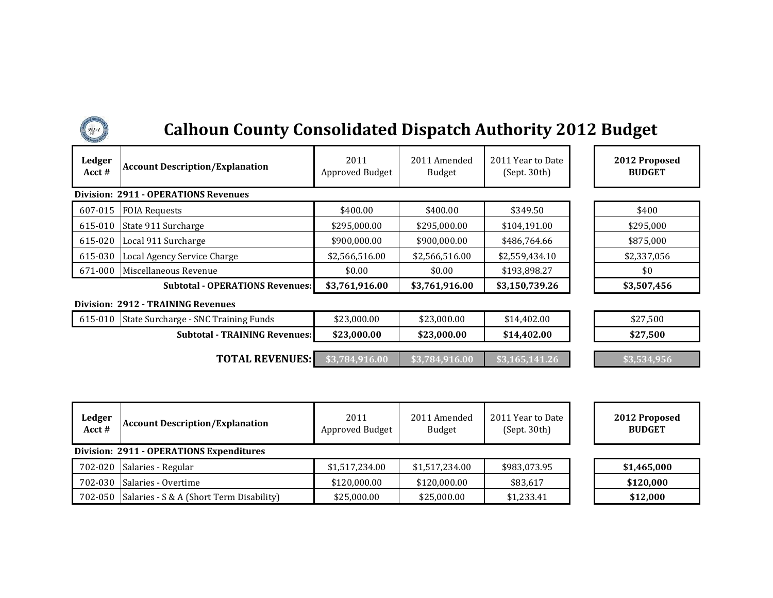| $94 - 1$                  | <b>Calhoun County Consolidated Dispatch Authority 2012 Budget</b> |                         |                               |                                   |                                |  |  |  |
|---------------------------|-------------------------------------------------------------------|-------------------------|-------------------------------|-----------------------------------|--------------------------------|--|--|--|
| <b>Ledger</b><br>Acct $#$ | <b>Account Description/Explanation</b>                            | 2011<br>Approved Budget | 2011 Amended<br><b>Budget</b> | 2011 Year to Date<br>(Sept. 30th) | 2012 Proposed<br><b>BUDGET</b> |  |  |  |
|                           | <b>Division: 2911 - OPERATIONS Revenues</b>                       |                         |                               |                                   |                                |  |  |  |
| 607-015                   | <b>FOIA Requests</b>                                              | \$400.00                | \$400.00                      | \$349.50                          | \$400                          |  |  |  |
| 615-010                   | State 911 Surcharge                                               | \$295,000.00            | \$295,000.00                  | \$104,191.00                      | \$295,000                      |  |  |  |
| 615-020                   | Local 911 Surcharge                                               | \$900,000.00            | \$900,000.00                  | \$486,764.66                      | \$875,000                      |  |  |  |
| 615-030                   | Local Agency Service Charge                                       | \$2,566,516.00          | \$2,566,516.00                | \$2,559,434.10                    | \$2,337,056                    |  |  |  |
| 671-000                   | Miscellaneous Revenue                                             | \$0.00                  | \$0.00                        | \$193,898.27                      | \$0                            |  |  |  |
|                           | <b>Subtotal - OPERATIONS Revenues:</b>                            | \$3,761,916.00          | \$3,761,916.00                | \$3,150,739.26                    | \$3,507,456                    |  |  |  |
|                           | <b>Division: 2912 - TRAINING Revenues</b>                         |                         |                               |                                   |                                |  |  |  |
|                           | 615-010 State Surcharge - SNC Training Funds                      | \$23,000.00             | \$23,000.00                   | \$14,402.00                       | \$27,500                       |  |  |  |

**Subtotal - TRAINING Revenues: \$23,000.00 \$23,000.00 \$14,402.00 \$27,500**

**TOTAL REVENUES: \$3,784,916.00 \$3,784,916.00 \$3,165,141.26 \$3,534,956**

| Ledger<br>$Acct$ # | <b>Account Description/Explanation</b>   | 2011<br>Approved Budget | 2011 Amended<br><b>Budget</b> | 2011 Year to Date<br>(Sept. 30th) |  | 2012 Proposed<br><b>BUDGET</b> |  |
|--------------------|------------------------------------------|-------------------------|-------------------------------|-----------------------------------|--|--------------------------------|--|
|                    | Division: 2911 - OPERATIONS Expenditures |                         |                               |                                   |  |                                |  |
| 702-020            | Salaries - Regular                       | \$1,517,234.00          | \$1,517,234.00                | \$983,073.95                      |  | \$1,465,000                    |  |
| 702-030            | Salaries - Overtime                      | \$120,000.00            | \$120,000.00                  | \$83,617                          |  | \$120,000                      |  |
| 702-050            | Salaries - S & A (Short Term Disability) | \$25,000.00             | \$25,000.00                   | \$1,233.41                        |  | \$12,000                       |  |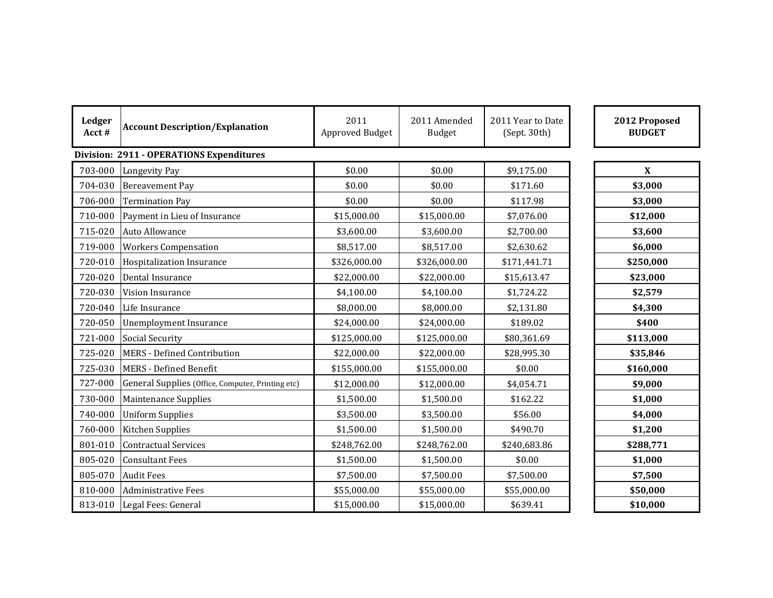| Ledger<br>Acct# | <b>Account Description/Explanation</b>            | 2011<br>Approved Budget | 2011 Amended<br><b>Budget</b> | 2011 Year to Date<br>(Sept. 30th) | 2012 Proposed<br><b>BUDGET</b> |  |  |
|-----------------|---------------------------------------------------|-------------------------|-------------------------------|-----------------------------------|--------------------------------|--|--|
|                 | <b>Division: 2911 - OPERATIONS Expenditures</b>   |                         |                               |                                   |                                |  |  |
| 703-000         | Longevity Pay                                     | \$0.00                  | \$0.00                        | \$9,175.00                        | X                              |  |  |
| 704-030         | <b>Bereavement Pay</b>                            | \$0.00                  | \$0.00                        | \$171.60                          | \$3,000                        |  |  |
| 706-000         | <b>Termination Pay</b>                            | \$0.00                  | \$0.00                        | \$117.98                          | \$3,000                        |  |  |
| 710-000         | Payment in Lieu of Insurance                      | \$15,000.00             | \$15,000.00                   | \$7,076.00                        | \$12,000                       |  |  |
| 715-020         | Auto Allowance                                    | \$3,600.00              | \$3,600.00                    | \$2,700.00                        | \$3,600                        |  |  |
| 719-000         | <b>Workers Compensation</b>                       | \$8,517.00              | \$8,517.00                    | \$2,630.62                        | \$6,000                        |  |  |
| 720-010         | Hospitalization Insurance                         | \$326,000.00            | \$326,000.00                  | \$171,441.71                      | \$250,000                      |  |  |
| 720-020         | Dental Insurance                                  | \$22,000.00             | \$22,000.00                   | \$15,613.47                       | \$23,000                       |  |  |
| 720-030         | Vision Insurance                                  | \$4,100.00              | \$4,100.00                    | \$1,724.22                        | \$2,579                        |  |  |
| 720-040         | Life Insurance                                    | \$8,000.00              | \$8,000.00                    | \$2,131.80                        | \$4,300                        |  |  |
| 720-050         | Unemployment Insurance                            | \$24,000.00             | \$24,000.00                   | \$189.02                          | \$400                          |  |  |
| 721-000         | Social Security                                   | \$125,000.00            | \$125,000.00                  | \$80,361.69                       | \$113,000                      |  |  |
| 725-020         | MERS - Defined Contribution                       | \$22,000.00             | \$22,000.00                   | \$28,995.30                       | \$35,846                       |  |  |
| 725-030         | MERS - Defined Benefit                            | \$155,000.00            | \$155,000.00                  | \$0.00                            | \$160,000                      |  |  |
| 727-000         | General Supplies (Office, Computer, Printing etc) | \$12,000.00             | \$12,000.00                   | \$4,054.71                        | \$9,000                        |  |  |
| 730-000         | Maintenance Supplies                              | \$1,500.00              | \$1,500.00                    | \$162.22                          | \$1,000                        |  |  |
| 740-000         | <b>Uniform Supplies</b>                           | \$3,500.00              | \$3,500.00                    | \$56.00                           | \$4,000                        |  |  |
| 760-000         | Kitchen Supplies                                  | \$1,500.00              | \$1,500.00                    | \$490.70                          | \$1,200                        |  |  |
| 801-010         | <b>Contractual Services</b>                       | \$248,762.00            | \$248,762.00                  | \$240,683.86                      | \$288,771                      |  |  |
| 805-020         | <b>Consultant Fees</b>                            | \$1,500.00              | \$1,500.00                    | \$0.00                            | \$1,000                        |  |  |
| 805-070         | <b>Audit Fees</b>                                 | \$7,500.00              | \$7,500.00                    | \$7,500.00                        | \$7,500                        |  |  |
| 810-000         | Administrative Fees                               | \$55,000.00             | \$55,000.00                   | \$55,000.00                       | \$50,000                       |  |  |
|                 | 813-010 Legal Fees: General                       | \$15,000.00             | \$15,000.00                   | \$639.41                          | \$10,000                       |  |  |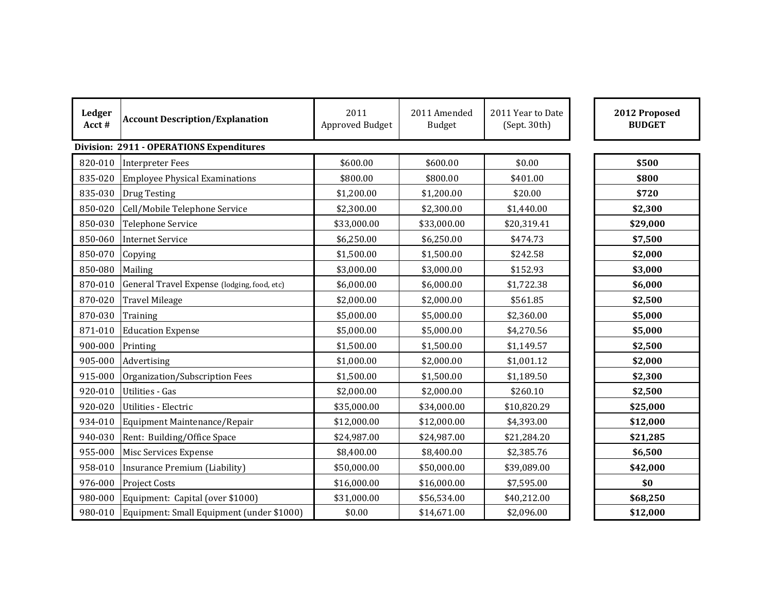| Ledger<br>Acct#                                 | <b>Account Description/Explanation</b>      | 2011<br>Approved Budget | 2011 Amended<br>Budget | 2011 Year to Date<br>(Sept. 30th) | 2012 Proposed<br><b>BUDGET</b> |
|-------------------------------------------------|---------------------------------------------|-------------------------|------------------------|-----------------------------------|--------------------------------|
| <b>Division: 2911 - OPERATIONS Expenditures</b> |                                             |                         |                        |                                   |                                |
| 820-010                                         | <b>Interpreter Fees</b>                     | \$600.00                | \$600.00               | \$0.00                            | \$500                          |
| 835-020                                         | Employee Physical Examinations              | \$800.00                | \$800.00               | \$401.00                          | \$800                          |
| 835-030                                         | <b>Drug Testing</b>                         | \$1,200.00              | \$1,200.00             | \$20.00                           | \$720                          |
| 850-020                                         | Cell/Mobile Telephone Service               | \$2,300.00              | \$2,300.00             | \$1,440.00                        | \$2,300                        |
| 850-030                                         | Telephone Service                           | \$33,000.00             | \$33,000.00            | \$20,319.41                       | \$29,000                       |
| 850-060                                         | <b>Internet Service</b>                     | \$6,250.00              | \$6,250.00             | \$474.73                          | \$7,500                        |
| 850-070                                         | Copying                                     | \$1,500.00              | \$1,500.00             | \$242.58                          | \$2,000                        |
| 850-080                                         | Mailing                                     | \$3,000.00              | \$3,000.00             | \$152.93                          | \$3,000                        |
| 870-010                                         | General Travel Expense (lodging, food, etc) | \$6,000.00              | \$6,000.00             | \$1,722.38                        | \$6,000                        |
| 870-020                                         | <b>Travel Mileage</b>                       | \$2,000.00              | \$2,000.00             | \$561.85                          | \$2,500                        |
| 870-030                                         | Training                                    | \$5,000.00              | \$5,000.00             | \$2,360.00                        | \$5,000                        |
| 871-010                                         | <b>Education Expense</b>                    | \$5,000.00              | \$5,000.00             | \$4,270.56                        | \$5,000                        |
| 900-000                                         | Printing                                    | \$1,500.00              | \$1,500.00             | \$1,149.57                        | \$2,500                        |
| 905-000                                         | Advertising                                 | \$1,000.00              | \$2,000.00             | \$1,001.12                        | \$2,000                        |
| 915-000                                         | Organization/Subscription Fees              | \$1,500.00              | \$1,500.00             | \$1,189.50                        | \$2,300                        |
| 920-010                                         | Utilities - Gas                             | \$2,000.00              | \$2,000.00             | \$260.10                          | \$2,500                        |
| 920-020                                         | Utilities - Electric                        | \$35,000.00             | \$34,000.00            | \$10,820.29                       | \$25,000                       |
| 934-010                                         | Equipment Maintenance/Repair                | \$12,000.00             | \$12,000.00            | \$4,393.00                        | \$12,000                       |
| 940-030                                         | Rent: Building/Office Space                 | \$24,987.00             | \$24,987.00            | \$21,284.20                       | \$21,285                       |
| 955-000                                         | Misc Services Expense                       | \$8,400.00              | \$8,400.00             | \$2,385.76                        | \$6,500                        |
| 958-010                                         | Insurance Premium (Liability)               | \$50,000.00             | \$50,000.00            | \$39,089.00                       | \$42,000                       |
| 976-000                                         | <b>Project Costs</b>                        | \$16,000.00             | \$16,000.00            | \$7,595.00                        | \$0                            |
| 980-000                                         | Equipment: Capital (over \$1000)            | \$31,000.00             | \$56,534.00            | \$40,212.00                       | \$68,250                       |
| 980-010                                         | Equipment: Small Equipment (under \$1000)   | \$0.00                  | \$14,671.00            | \$2,096.00                        | \$12,000                       |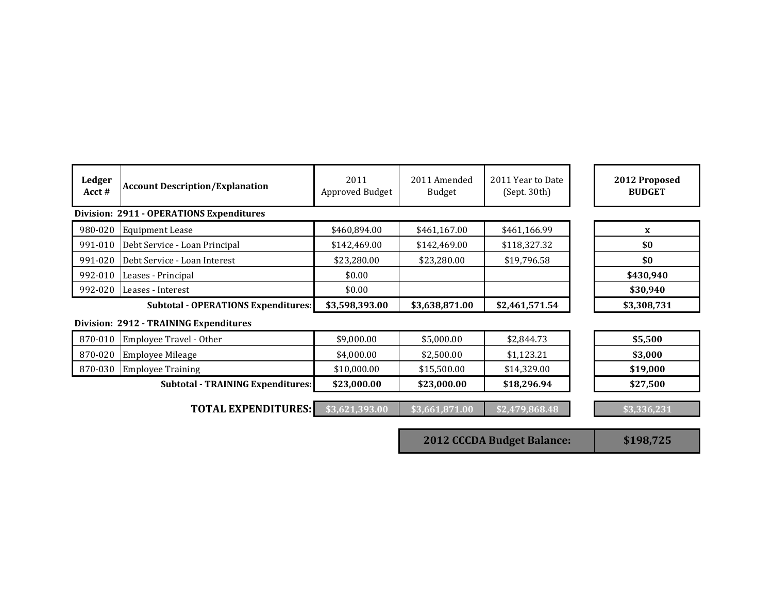| Ledger<br>Acct # | <b>Account Description/Explanation</b>          | 2011<br>Approved Budget | 2011 Amended<br><b>Budget</b> | 2011 Year to Date<br>(Sept. 30th) | 2012 Proposed<br><b>BUDGET</b> |
|------------------|-------------------------------------------------|-------------------------|-------------------------------|-----------------------------------|--------------------------------|
|                  | <b>Division: 2911 - OPERATIONS Expenditures</b> |                         |                               |                                   |                                |
| 980-020          | <b>Equipment Lease</b>                          | \$460,894.00            | \$461,167.00                  | \$461,166.99                      | $\mathbf{x}$                   |
| 991-010          | Debt Service - Loan Principal                   | \$142,469.00            | \$142,469.00                  | \$118,327.32                      | \$0                            |
| 991-020          | Debt Service - Loan Interest                    | \$23,280.00             | \$23,280.00                   | \$19,796.58                       | \$0                            |
| 992-010          | Leases - Principal                              | \$0.00                  |                               |                                   | \$430,940                      |
| 992-020          | Leases - Interest                               | \$0.00                  |                               |                                   | \$30,940                       |
|                  | <b>Subtotal - OPERATIONS Expenditures:</b>      | \$3,598,393.00          | \$3,638,871.00                | \$2,461,571.54                    | \$3,308,731                    |
|                  | Division: 2912 - TRAINING Expenditures          |                         |                               |                                   |                                |
| 870-010          | Employee Travel - Other                         | \$9,000.00              | \$5,000.00                    | \$2,844.73                        | \$5,500                        |
| 870-020          | <b>Employee Mileage</b>                         | \$4,000.00              | \$2,500.00                    | \$1,123.21                        | \$3,000                        |
| 870-030          | <b>Employee Training</b>                        | \$10,000.00             | \$15,500.00                   | \$14,329.00                       | \$19,000                       |
|                  | <b>Subtotal - TRAINING Expenditures:</b>        | \$23,000.00             | \$23,000.00                   | \$18,296.94                       | \$27,500                       |
|                  | <b>TOTAL EXPENDITURES:</b>                      | \$3,621,393.00          | \$3,661,871.00                | \$2,479,868.48                    | \$3,336,231                    |

**2012 CCCDA Budget Balance: \$198,725**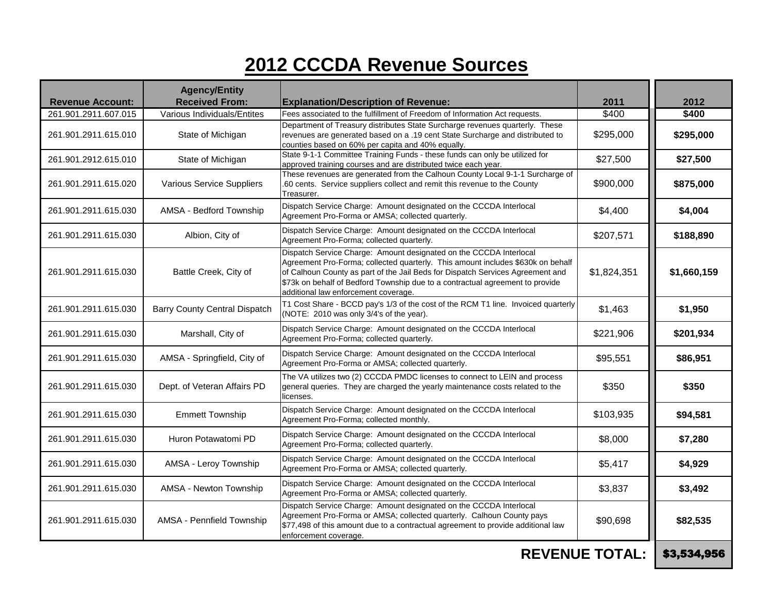## **2012 CCCDA Revenue Sources**

| <b>Revenue Account:</b> | <b>Agency/Entity</b><br><b>Received From:</b> | <b>Explanation/Description of Revenue:</b>                                                                                                                                                                                                                                                                                                                       | 2011                  | 2012        |
|-------------------------|-----------------------------------------------|------------------------------------------------------------------------------------------------------------------------------------------------------------------------------------------------------------------------------------------------------------------------------------------------------------------------------------------------------------------|-----------------------|-------------|
| 261.901.2911.607.015    | Various Individuals/Entites                   | Fees associated to the fulfillment of Freedom of Information Act requests.                                                                                                                                                                                                                                                                                       | \$400                 | \$400       |
| 261.901.2911.615.010    | State of Michigan                             | Department of Treasury distributes State Surcharge revenues quarterly. These<br>revenues are generated based on a .19 cent State Surcharge and distributed to<br>counties based on 60% per capita and 40% equally.                                                                                                                                               | \$295,000             | \$295,000   |
| 261.901.2912.615.010    | State of Michigan                             | State 9-1-1 Committee Training Funds - these funds can only be utilized for<br>approved training courses and are distributed twice each year.                                                                                                                                                                                                                    | \$27,500              | \$27,500    |
| 261.901.2911.615.020    | Various Service Suppliers                     | These revenues are generated from the Calhoun County Local 9-1-1 Surcharge of<br>.60 cents. Service suppliers collect and remit this revenue to the County<br>Treasurer.                                                                                                                                                                                         | \$900,000             | \$875,000   |
| 261.901.2911.615.030    | AMSA - Bedford Township                       | Dispatch Service Charge: Amount designated on the CCCDA Interlocal<br>Agreement Pro-Forma or AMSA; collected quarterly.                                                                                                                                                                                                                                          | \$4,400               | \$4,004     |
| 261.901.2911.615.030    | Albion, City of                               | Dispatch Service Charge: Amount designated on the CCCDA Interlocal<br>Agreement Pro-Forma; collected quarterly.                                                                                                                                                                                                                                                  | \$207,571             | \$188,890   |
| 261.901.2911.615.030    | Battle Creek, City of                         | Dispatch Service Charge: Amount designated on the CCCDA Interlocal<br>Agreement Pro-Forma; collected quarterly. This amount includes \$630k on behalf<br>of Calhoun County as part of the Jail Beds for Dispatch Services Agreement and<br>\$73k on behalf of Bedford Township due to a contractual agreement to provide<br>additional law enforcement coverage. | \$1,824,351           | \$1,660,159 |
| 261.901.2911.615.030    | <b>Barry County Central Dispatch</b>          | T1 Cost Share - BCCD pay's 1/3 of the cost of the RCM T1 line. Invoiced quarterly<br>(NOTE: 2010 was only 3/4's of the year).                                                                                                                                                                                                                                    | \$1,463               | \$1,950     |
| 261.901.2911.615.030    | Marshall, City of                             | Dispatch Service Charge: Amount designated on the CCCDA Interlocal<br>Agreement Pro-Forma; collected quarterly.                                                                                                                                                                                                                                                  | \$221,906             | \$201,934   |
| 261.901.2911.615.030    | AMSA - Springfield, City of                   | Dispatch Service Charge: Amount designated on the CCCDA Interlocal<br>Agreement Pro-Forma or AMSA; collected quarterly.                                                                                                                                                                                                                                          | \$95,551              | \$86,951    |
| 261.901.2911.615.030    | Dept. of Veteran Affairs PD                   | The VA utilizes two (2) CCCDA PMDC licenses to connect to LEIN and process<br>general queries. They are charged the yearly maintenance costs related to the<br>licenses.                                                                                                                                                                                         | \$350                 | \$350       |
| 261.901.2911.615.030    | <b>Emmett Township</b>                        | Dispatch Service Charge: Amount designated on the CCCDA Interlocal<br>Agreement Pro-Forma; collected monthly.                                                                                                                                                                                                                                                    | \$103,935             | \$94,581    |
| 261.901.2911.615.030    | Huron Potawatomi PD                           | Dispatch Service Charge: Amount designated on the CCCDA Interlocal<br>Agreement Pro-Forma; collected quarterly.                                                                                                                                                                                                                                                  | \$8,000               | \$7,280     |
| 261.901.2911.615.030    | AMSA - Leroy Township                         | Dispatch Service Charge: Amount designated on the CCCDA Interlocal<br>Agreement Pro-Forma or AMSA; collected quarterly.                                                                                                                                                                                                                                          | \$5,417               | \$4,929     |
| 261.901.2911.615.030    | AMSA - Newton Township                        | Dispatch Service Charge: Amount designated on the CCCDA Interlocal<br>Agreement Pro-Forma or AMSA; collected quarterly.                                                                                                                                                                                                                                          | \$3,837               | \$3,492     |
| 261.901.2911.615.030    | AMSA - Pennfield Township                     | Dispatch Service Charge: Amount designated on the CCCDA Interlocal<br>Agreement Pro-Forma or AMSA; collected quarterly. Calhoun County pays<br>\$77,498 of this amount due to a contractual agreement to provide additional law<br>enforcement coverage.                                                                                                         | \$90,698              | \$82,535    |
|                         |                                               |                                                                                                                                                                                                                                                                                                                                                                  | <b>REVENUE TOTAL:</b> | \$3,534,956 |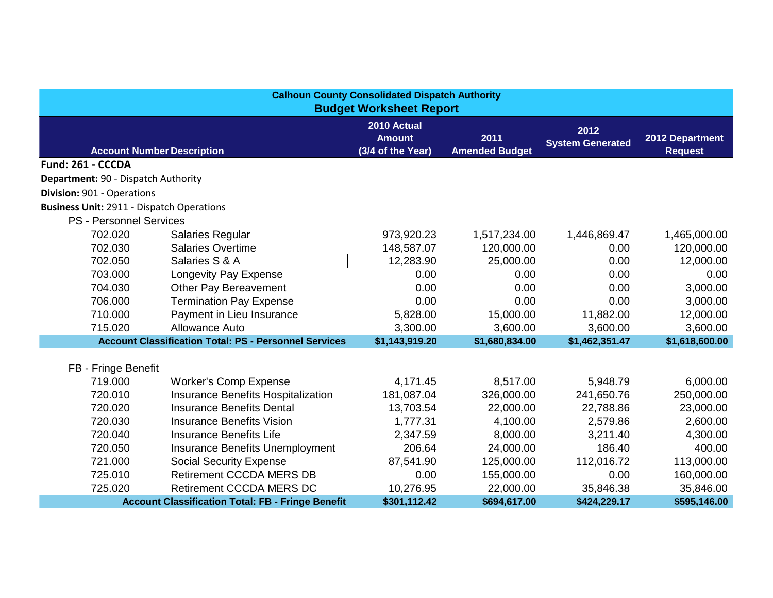| <b>Calhoun County Consolidated Dispatch Authority</b><br><b>Budget Worksheet Report</b>                                                                                                         |                                                              |                |                |                |                |  |  |
|-------------------------------------------------------------------------------------------------------------------------------------------------------------------------------------------------|--------------------------------------------------------------|----------------|----------------|----------------|----------------|--|--|
| 2010 Actual<br>2012<br>2011<br>2012 Department<br><b>Amount</b><br><b>System Generated</b><br>(3/4 of the Year)<br><b>Amended Budget</b><br><b>Account Number Description</b><br><b>Request</b> |                                                              |                |                |                |                |  |  |
| Fund: 261 - CCCDA                                                                                                                                                                               |                                                              |                |                |                |                |  |  |
| Department: 90 - Dispatch Authority                                                                                                                                                             |                                                              |                |                |                |                |  |  |
| Division: 901 - Operations                                                                                                                                                                      |                                                              |                |                |                |                |  |  |
| <b>Business Unit: 2911 - Dispatch Operations</b>                                                                                                                                                |                                                              |                |                |                |                |  |  |
| <b>PS - Personnel Services</b>                                                                                                                                                                  |                                                              |                |                |                |                |  |  |
| 702.020                                                                                                                                                                                         | <b>Salaries Regular</b>                                      | 973,920.23     | 1,517,234.00   | 1,446,869.47   | 1,465,000.00   |  |  |
| 702.030                                                                                                                                                                                         | <b>Salaries Overtime</b>                                     | 148,587.07     | 120,000.00     | 0.00           | 120,000.00     |  |  |
| 702.050                                                                                                                                                                                         | Salaries S & A                                               | 12,283.90      | 25,000.00      | 0.00           | 12,000.00      |  |  |
| 703.000                                                                                                                                                                                         | Longevity Pay Expense                                        | 0.00           | 0.00           | 0.00           | 0.00           |  |  |
| 704.030                                                                                                                                                                                         | <b>Other Pay Bereavement</b>                                 | 0.00           | 0.00           | 0.00           | 3,000.00       |  |  |
| 706.000                                                                                                                                                                                         | <b>Termination Pay Expense</b>                               | 0.00           | 0.00           | 0.00           | 3,000.00       |  |  |
| 710.000                                                                                                                                                                                         | Payment in Lieu Insurance                                    | 5,828.00       | 15,000.00      | 11,882.00      | 12,000.00      |  |  |
| 715.020                                                                                                                                                                                         | Allowance Auto                                               | 3,300.00       | 3,600.00       | 3,600.00       | 3,600.00       |  |  |
|                                                                                                                                                                                                 | <b>Account Classification Total: PS - Personnel Services</b> | \$1,143,919.20 | \$1,680,834.00 | \$1,462,351.47 | \$1,618,600.00 |  |  |
|                                                                                                                                                                                                 |                                                              |                |                |                |                |  |  |
| FB - Fringe Benefit                                                                                                                                                                             |                                                              |                |                |                |                |  |  |
| 719.000                                                                                                                                                                                         | <b>Worker's Comp Expense</b>                                 | 4,171.45       | 8,517.00       | 5,948.79       | 6,000.00       |  |  |
| 720.010                                                                                                                                                                                         | Insurance Benefits Hospitalization                           | 181,087.04     | 326,000.00     | 241,650.76     | 250,000.00     |  |  |
| 720.020                                                                                                                                                                                         | <b>Insurance Benefits Dental</b>                             | 13,703.54      | 22,000.00      | 22,788.86      | 23,000.00      |  |  |
| 720.030                                                                                                                                                                                         | <b>Insurance Benefits Vision</b>                             | 1,777.31       | 4,100.00       | 2,579.86       | 2,600.00       |  |  |
| 720.040                                                                                                                                                                                         | <b>Insurance Benefits Life</b>                               | 2,347.59       | 8,000.00       | 3,211.40       | 4,300.00       |  |  |
| 720.050                                                                                                                                                                                         | Insurance Benefits Unemployment                              | 206.64         | 24,000.00      | 186.40         | 400.00         |  |  |
| 721.000                                                                                                                                                                                         | <b>Social Security Expense</b>                               | 87,541.90      | 125,000.00     | 112,016.72     | 113,000.00     |  |  |
| 725.010                                                                                                                                                                                         | <b>Retirement CCCDA MERS DB</b>                              | 0.00           | 155,000.00     | 0.00           | 160,000.00     |  |  |
| 725.020                                                                                                                                                                                         | <b>Retirement CCCDA MERS DC</b>                              | 10,276.95      | 22,000.00      | 35,846.38      | 35,846.00      |  |  |
|                                                                                                                                                                                                 | <b>Account Classification Total: FB - Fringe Benefit</b>     | \$301,112.42   | \$694,617.00   | \$424,229.17   | \$595,146.00   |  |  |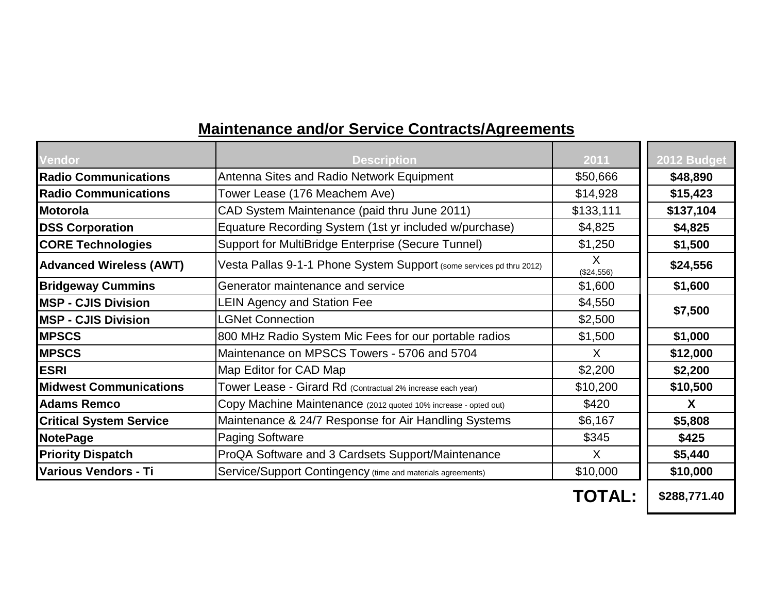## **Maintenance and/or Service Contracts/Agreements**

| Vendor                         | <b>Description</b>                                                   | 2011            | 2012 Budget  |  |
|--------------------------------|----------------------------------------------------------------------|-----------------|--------------|--|
| <b>Radio Communications</b>    | Antenna Sites and Radio Network Equipment                            | \$50,666        | \$48,890     |  |
| <b>Radio Communications</b>    | Tower Lease (176 Meachem Ave)                                        | \$14,928        | \$15,423     |  |
| <b>Motorola</b>                | CAD System Maintenance (paid thru June 2011)                         | \$133,111       | \$137,104    |  |
| <b>DSS Corporation</b>         | Equature Recording System (1st yr included w/purchase)               | \$4,825         | \$4,825      |  |
| <b>CORE Technologies</b>       | Support for MultiBridge Enterprise (Secure Tunnel)                   | \$1,250         | \$1,500      |  |
| <b>Advanced Wireless (AWT)</b> | Vesta Pallas 9-1-1 Phone System Support (some services pd thru 2012) | X<br>(\$24,556) | \$24,556     |  |
| <b>Bridgeway Cummins</b>       | Generator maintenance and service                                    | \$1,600         | \$1,600      |  |
| <b>MSP - CJIS Division</b>     | <b>LEIN Agency and Station Fee</b>                                   | \$4,550         |              |  |
| <b>MSP - CJIS Division</b>     | <b>LGNet Connection</b>                                              | \$2,500         | \$7,500      |  |
| <b>MPSCS</b>                   | 800 MHz Radio System Mic Fees for our portable radios                | \$1,500         | \$1,000      |  |
| <b>MPSCS</b>                   | Maintenance on MPSCS Towers - 5706 and 5704                          | X               | \$12,000     |  |
| <b>JESRI</b>                   | Map Editor for CAD Map                                               | \$2,200         | \$2,200      |  |
| <b>Midwest Communications</b>  | Tower Lease - Girard Rd (Contractual 2% increase each year)          | \$10,200        | \$10,500     |  |
| <b>Adams Remco</b>             | Copy Machine Maintenance (2012 quoted 10% increase - opted out)      | \$420           | $\mathbf{X}$ |  |
| <b>Critical System Service</b> | Maintenance & 24/7 Response for Air Handling Systems                 | \$6,167         | \$5,808      |  |
| <b>NotePage</b>                | <b>Paging Software</b>                                               | \$345           | \$425        |  |
| <b>Priority Dispatch</b>       | ProQA Software and 3 Cardsets Support/Maintenance                    | $\sf X$         | \$5,440      |  |
| Various Vendors - Ti           | Service/Support Contingency (time and materials agreements)          | \$10,000        | \$10,000     |  |
|                                |                                                                      | TOTAL:          | \$288,771.40 |  |